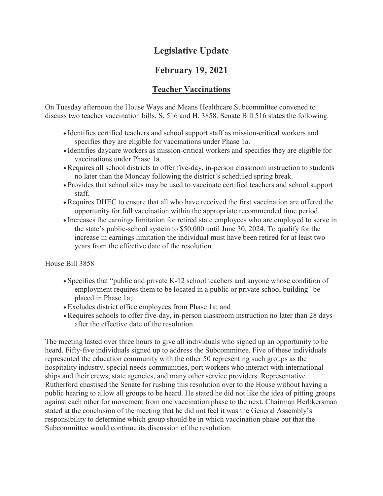# **Legislative Update**

# **February 19, 2021**

#### **Teacher Vaccinations**

On Tuesday afternoon the House Ways and Means Healthcare Subcommittee convened to discuss two teacher vaccination bills, S. 516 and H. 3858. Senate Bill 516 states the following.

- Identifies certified teachers and school support staff as mission-critical workers and specifies they are eligible for vaccinations under Phase 1a.
- Identifies daycare workers as mission-critical workers and specifies they are eligible for vaccinations under Phase 1a.
- Requires all school districts to offer five-day, in-person classroom instruction to students no later than the Monday following the district's scheduled spring break.
- Provides that school sites may be used to vaccinate certified teachers and school support staff.
- Requires DHEC to ensure that all who have received the first vaccination are offered the opportunity for full vaccination within the appropriate recommended time period.
- Increases the earnings limitation for retired state employees who are employed to serve in the state's public-school system to \$50,000 until June 30, 2024. To qualify for the increase in earnings limitation the individual must have been retired for at least two years from the effective date of the resolution.

House Bill 3858

- Specifies that "public and private K-12 school teachers and anyone whose condition of employment requires them to be located in a public or private school building" be placed in Phase 1a;
- Excludes district office employees from Phase 1a; and
- Requires schools to offer five-day, in-person classroom instruction no later than 28 days after the effective date of the resolution.

The meeting lasted over three hours to give all individuals who signed up an opportunity to be heard. Fifty-five individuals signed up to address the Subcommittee. Five of these individuals represented the education community with the other 50 representing such groups as the hospitality industry, special needs communities, port workers who interact with international ships and their crews, state agencies, and many other service providers. Representative Rutherford chastised the Senate for rushing this resolution over to the House without having a public hearing to allow all groups to be heard. He stated he did not like the idea of pitting groups against each other for movement from one vaccination phase to the next. Chairman Herbkersman stated at the conclusion of the meeting that he did not feel it was the General Assembly's responsibility to determine which group should be in which vaccination phase but that the Subcommittee would continue its discussion of the resolution.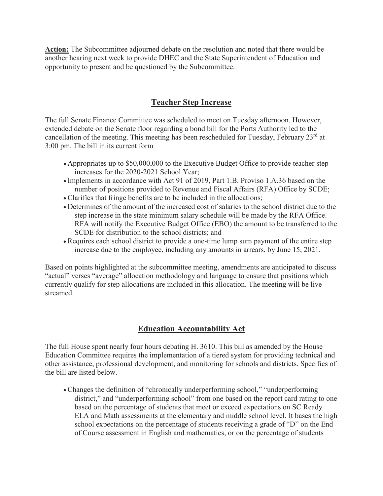**Action:** The Subcommittee adjourned debate on the resolution and noted that there would be another hearing next week to provide DHEC and the State Superintendent of Education and opportunity to present and be questioned by the Subcommittee.

## **Teacher Step Increase**

The full Senate Finance Committee was scheduled to meet on Tuesday afternoon. However, extended debate on the Senate floor regarding a bond bill for the Ports Authority led to the cancellation of the meeting. This meeting has been rescheduled for Tuesday, February 23<sup>rd</sup> at 3:00 pm. The bill in its current form

- Appropriates up to \$50,000,000 to the Executive Budget Office to provide teacher step increases for the 2020-2021 School Year;
- Implements in accordance with Act 91 of 2019, Part 1.B. Proviso 1.A.36 based on the number of positions provided to Revenue and Fiscal Affairs (RFA) Office by SCDE;
- Clarifies that fringe benefits are to be included in the allocations;
- Determines of the amount of the increased cost of salaries to the school district due to the step increase in the state minimum salary schedule will be made by the RFA Office. RFA will notify the Executive Budget Office (EBO) the amount to be transferred to the SCDE for distribution to the school districts; and
- Requires each school district to provide a one-time lump sum payment of the entire step increase due to the employee, including any amounts in arrears, by June 15, 2021.

Based on points highlighted at the subcommittee meeting, amendments are anticipated to discuss "actual" verses "average" allocation methodology and language to ensure that positions which currently qualify for step allocations are included in this allocation. The meeting will be live streamed.

### **Education Accountability Act**

The full House spent nearly four hours debating H. 3610. This bill as amended by the House Education Committee requires the implementation of a tiered system for providing technical and other assistance, professional development, and monitoring for schools and districts. Specifics of the bill are listed below.

• Changes the definition of "chronically underperforming school," "underperforming district," and "underperforming school" from one based on the report card rating to one based on the percentage of students that meet or exceed expectations on SC Ready ELA and Math assessments at the elementary and middle school level. It bases the high school expectations on the percentage of students receiving a grade of "D" on the End of Course assessment in English and mathematics, or on the percentage of students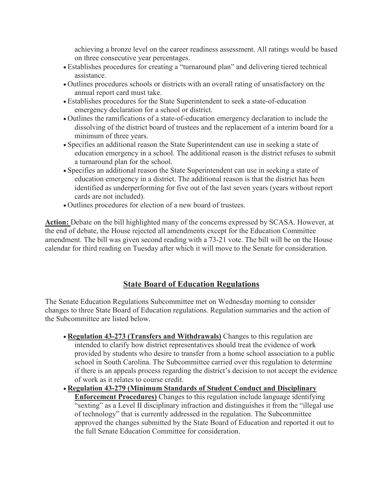achieving a bronze level on the career readiness assessment. All ratings would be based on three consecutive year percentages.

- Establishes procedures for creating a "turnaround plan" and delivering tiered technical assistance.
- Outlines procedures schools or districts with an overall rating of unsatisfactory on the annual report card must take.
- Establishes procedures for the State Superintendent to seek a state-of-education emergency declaration for a school or district.
- Outlines the ramifications of a state-of-education emergency declaration to include the dissolving of the district board of trustees and the replacement of a interim board for a minimum of three years.
- Specifies an additional reason the State Superintendent can use in seeking a state of education emergency in a school. The additional reason is the district refuses to submit a turnaround plan for the school.
- Specifies an additional reason the State Superintendent can use in seeking a state of education emergency in a district. The additional reason is that the district has been identified as underperforming for five out of the last seven years (years without report cards are not included).
- Outlines procedures for election of a new board of trustees.

**Action:** Debate on the bill highlighted many of the concerns expressed by SCASA. However, at the end of debate, the House rejected all amendments except for the Education Committee amendment. The bill was given second reading with a 73-21 vote. The bill will be on the House calendar for third reading on Tuesday after which it will move to the Senate for consideration.

#### **State Board of Education Regulations**

The Senate Education Regulations Subcommittee met on Wednesday morning to consider changes to three State Board of Education regulations. Regulation summaries and the action of the Subcommittee are listed below.

- **Regulation 43-273 (Transfers and Withdrawals)** Changes to this regulation are intended to clarify how district representatives should treat the evidence of work provided by students who desire to transfer from a home school association to a public school in South Carolina. The Subcommittee carried over this regulation to determine if there is an appeals process regarding the district's decision to not accept the evidence of work as it relates to course credit.
- **Regulation 43-279 (Minimum Standards of Student Conduct and Disciplinary Enforcement Procedures)** Changes to this regulation include language identifying "sexting" as a Level II disciplinary infraction and distinguishes it from the "illegal use of technology" that is currently addressed in the regulation. The Subcommittee approved the changes submitted by the State Board of Education and reported it out to the full Senate Education Committee for consideration.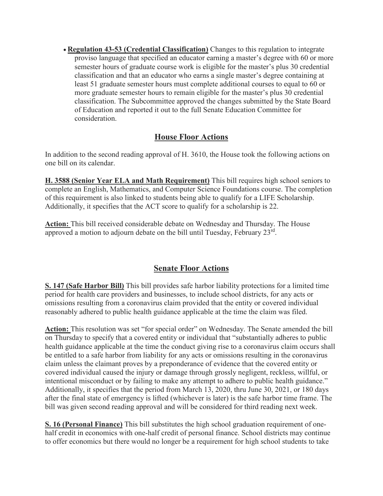• **Regulation 43-53 (Credential Classification)** Changes to this regulation to integrate proviso language that specified an educator earning a master's degree with 60 or more semester hours of graduate course work is eligible for the master's plus 30 credential classification and that an educator who earns a single master's degree containing at least 51 graduate semester hours must complete additional courses to equal to 60 or more graduate semester hours to remain eligible for the master's plus 30 credential classification. The Subcommittee approved the changes submitted by the State Board of Education and reported it out to the full Senate Education Committee for consideration.

#### **House Floor Actions**

In addition to the second reading approval of H. 3610, the House took the following actions on one bill on its calendar.

**H. 3588 (Senior Year ELA and Math Requirement)** This bill requires high school seniors to complete an English, Mathematics, and Computer Science Foundations course. The completion of this requirement is also linked to students being able to qualify for a LIFE Scholarship. Additionally, it specifies that the ACT score to qualify for a scholarship is 22.

**Action:** This bill received considerable debate on Wednesday and Thursday. The House approved a motion to adjourn debate on the bill until Tuesday, February 23rd.

### **Senate Floor Actions**

**S. 147 (Safe Harbor Bill)** This bill provides safe harbor liability protections for a limited time period for health care providers and businesses, to include school districts, for any acts or omissions resulting from a coronavirus claim provided that the entity or covered individual reasonably adhered to public health guidance applicable at the time the claim was filed.

**Action:** This resolution was set "for special order" on Wednesday. The Senate amended the bill on Thursday to specify that a covered entity or individual that "substantially adheres to public health guidance applicable at the time the conduct giving rise to a coronavirus claim occurs shall be entitled to a safe harbor from liability for any acts or omissions resulting in the coronavirus claim unless the claimant proves by a preponderance of evidence that the covered entity or covered individual caused the injury or damage through grossly negligent, reckless, willful, or intentional misconduct or by failing to make any attempt to adhere to public health guidance." Additionally, it specifies that the period from March 13, 2020, thru June 30, 2021, or 180 days after the final state of emergency is lifted (whichever is later) is the safe harbor time frame. The bill was given second reading approval and will be considered for third reading next week.

**S. 16 (Personal Finance)** This bill substitutes the high school graduation requirement of onehalf credit in economics with one-half credit of personal finance. School districts may continue to offer economics but there would no longer be a requirement for high school students to take